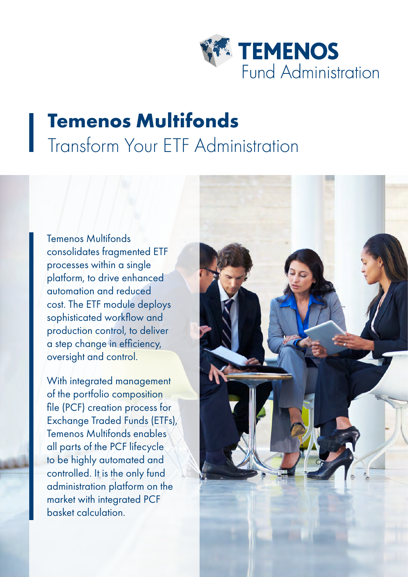

# **Temenos Multifonds** Transform Your ETF Administration

Temenos Multifonds consolidates fragmented ETF processes within a single platform, to drive enhanced automation and reduced cost. The ETF module deploys sophisticated workflow and production control, to deliver a step change in efficiency, oversight and control.

With integrated management of the portfolio composition file (PCF) creation process for Exchange Traded Funds (ETFs), Temenos Multifonds enables all parts of the PCF lifecycle to be highly automated and controlled. It is the only fund administration platform on the market with integrated PCF basket calculation.

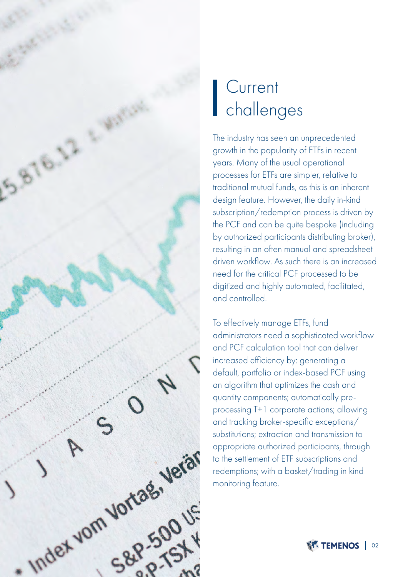

# Current challenges

The industry has seen an unprecedented growth in the popularity of ETFs in recent years. Many of the usual operational processes for ETFs are simpler, relative to traditional mutual funds, as this is an inherent design feature. However, the daily in-kind subscription/redemption process is driven by the PCF and can be quite bespoke (including by authorized participants distributing broker), resulting in an often manual and spreadsheet driven workflow. As such there is an increased need for the critical PCF processed to be digitized and highly automated, facilitated, and controlled.

To effectively manage ETFs, fund administrators need a sophisticated workflow and PCF calculation tool that can deliver increased efficiency by: generating a default, portfolio or index-based PCF using an algorithm that optimizes the cash and quantity components; automatically preprocessing T+1 corporate actions; allowing and tracking broker-specific exceptions/ appropriate authorized participants, through to the settlement of ETF subscriptions and redemptions; with a basket/trading in kind monitoring feature.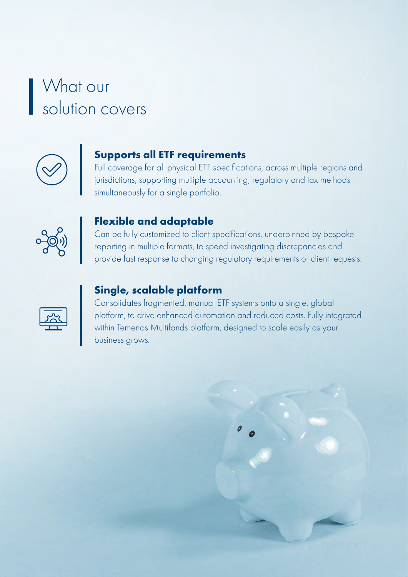# What our solution covers



### **Supports all ETF requirements**

Full coverage for all physical ETF specifications, across multiple regions and jurisdictions, supporting multiple accounting, regulatory and tax methods simultaneously for a single portfolio.



#### **Flexible and adaptable**

Can be fully customized to client specifications, underpinned by bespoke reporting in multiple formats, to speed investigating discrepancies and provide fast response to changing regulatory requirements or client requests.



### **Single, scalable platform**

Consolidates fragmented, manual ETF systems onto a single, global platform, to drive enhanced automation and reduced costs. Fully integrated within Temenos Multifonds platform, designed to scale easily as your business grows.

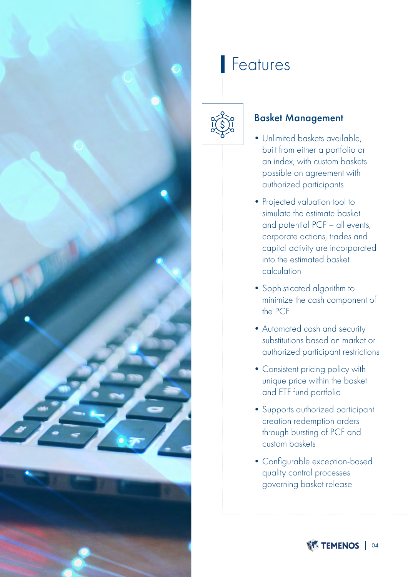

### **Features**



#### Basket Management

- •Unlimited baskets available, built from either a portfolio or an index, with custom baskets possible on agreement with authorized participants
- Projected valuation tool to simulate the estimate basket and potential PCF – all events, corporate actions, trades and capital activity are incorporated into the estimated basket calculation
- Sophisticated algorithm to minimize the cash component of the PCF
- •Automated cash and security substitutions based on market or authorized participant restrictions
- Consistent pricing policy with unique price within the basket and ETF fund portfolio
- •Supports authorized participant creation redemption orders through bursting of PCF and custom baskets
- •Configurable exception-based quality control processes governing basket release

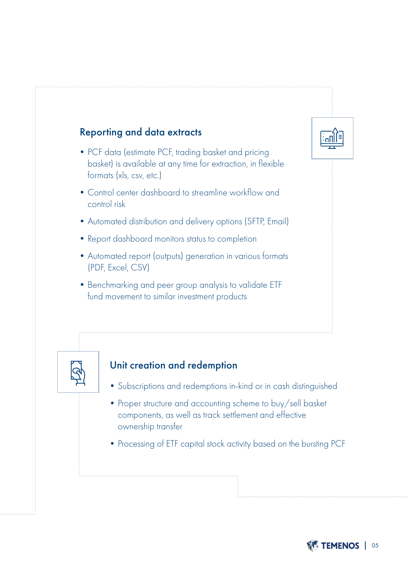

- •PCF data (estimate PCF, trading basket and pricing basket) is available at any time for extraction, in flexible formats (xls, csv, etc.)
- •Control center dashboard to streamline workflow and control risk
- •Automated distribution and delivery options (SFTP, Email)
- •Report dashboard monitors status to completion
- •Automated report (outputs) generation in various formats (PDF, Excel, CSV)
- •Benchmarking and peer group analysis to validate ETF fund movement to similar investment products



#### Unit creation and redemption

- •Subscriptions and redemptions in-kind or in cash distinguished
- •Proper structure and accounting scheme to buy/sell basket components, as well as track settlement and effective ownership transfer
- Processing of ETF capital stock activity based on the bursting PCF

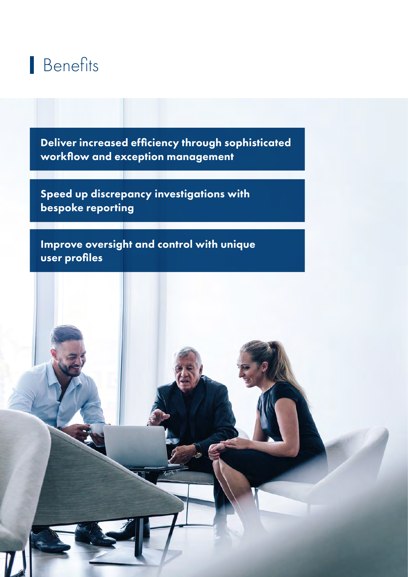## Benefits

Deliver increased efficiency through sophisticated workflow and exception management

Speed up discrepancy investigations with bespoke reporting

Improve oversight and control with unique user profiles

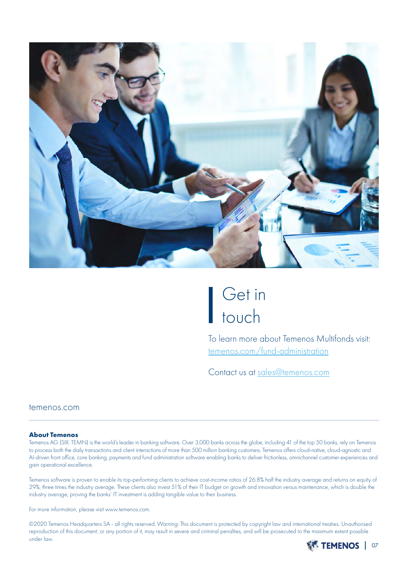

## Get in touch

To learn more about Temenos Multifonds visit: [temenos.com/fund-administration](http://temenos.com/fund-administration/  )

Contact us at [sales@temenos.com](mailto:%20sales%40temenos.com%20?subject=)

#### [temenos.com](https://www.temenos.com/)

#### **About Temenos**

Temenos AG (SIX: TEMN) is the world's leader in banking software. Over 3,000 banks across the globe, including 41 of the top 50 banks, rely on Temenos to process both the daily transactions and client interactions of more than 500 million banking customers. Temenos offers cloud-native, cloud-agnostic and AI-driven front office, core banking, payments and fund administration software enabling banks to deliver frictionless, omnichannel customer experiences and gain operational excellence.

Temenos software is proven to enable its top-performing clients to achieve cost-income ratios of 26.8% half the industry average and returns on equity of 29%, three times the industry average. These clients also invest 51% of their IT budget on growth and innovation versus maintenance, which is double the industry average, proving the banks' IT investment is adding tangible value to their business.

For more information, please visit [www.temenos.com.](http://www.temenos.com)

©2020 Temenos Headquarters SA - all rights reserved. Warning: This document is protected by copyright law and international treaties. Unauthorised reproduction of this document, or any portion of it, may result in severe and criminal penalties, and will be prosecuted to the maximum extent possible under law.